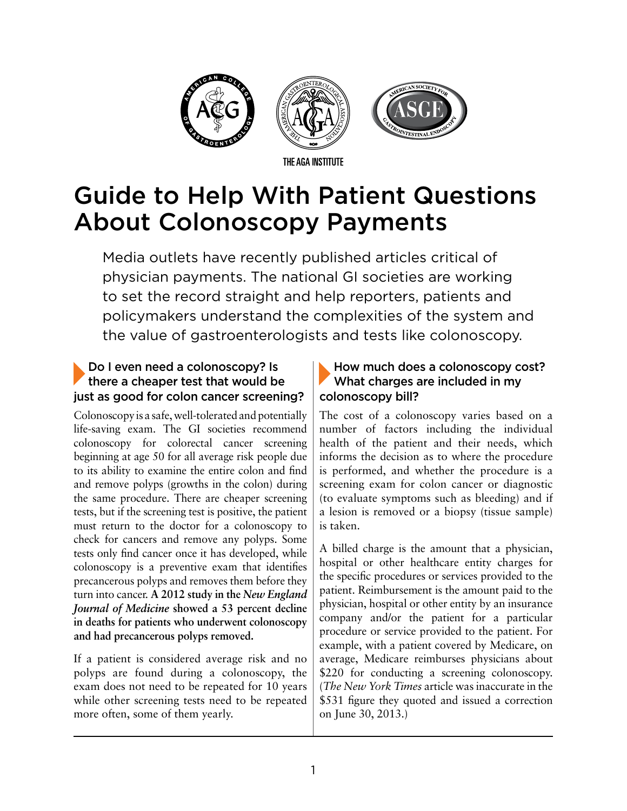

# Guide to Help With Patient Questions About Colonoscopy Payments

Media outlets have recently published articles critical of physician payments. The national GI societies are working to set the record straight and help reporters, patients and policymakers understand the complexities of the system and the value of gastroenterologists and tests like colonoscopy.

### Do I even need a colonoscopy? Is there a cheaper test that would be just as good for colon cancer screening?

Colonoscopy is a safe, well-tolerated and potentially life-saving exam. The GI societies recommend colonoscopy for colorectal cancer screening beginning at age 50 for all average risk people due to its ability to examine the entire colon and find and remove polyps (growths in the colon) during the same procedure. There are cheaper screening tests, but if the screening test is positive, the patient must return to the doctor for a colonoscopy to check for cancers and remove any polyps. Some tests only find cancer once it has developed, while colonoscopy is a preventive exam that identifies precancerous polyps and removes them before they turn into cancer. **A 2012 study in the** *New England Journal of Medicine* **showed a 53 percent decline in deaths for patients who underwent colonoscopy and had precancerous polyps removed.**

If a patient is considered average risk and no polyps are found during a colonoscopy, the exam does not need to be repeated for 10 years while other screening tests need to be repeated more often, some of them yearly.

### How much does a colonoscopy cost? What charges are included in my colonoscopy bill?

The cost of a colonoscopy varies based on a number of factors including the individual health of the patient and their needs, which informs the decision as to where the procedure is performed, and whether the procedure is a screening exam for colon cancer or diagnostic (to evaluate symptoms such as bleeding) and if a lesion is removed or a biopsy (tissue sample) is taken.

A billed charge is the amount that a physician, hospital or other healthcare entity charges for the specific procedures or services provided to the patient. Reimbursement is the amount paid to the physician, hospital or other entity by an insurance company and/or the patient for a particular procedure or service provided to the patient. For example, with a patient covered by Medicare, on average, Medicare reimburses physicians about \$220 for conducting a screening colonoscopy. (*The New York Times* article was inaccurate in the \$531 figure they quoted and issued a correction on June 30, 2013.)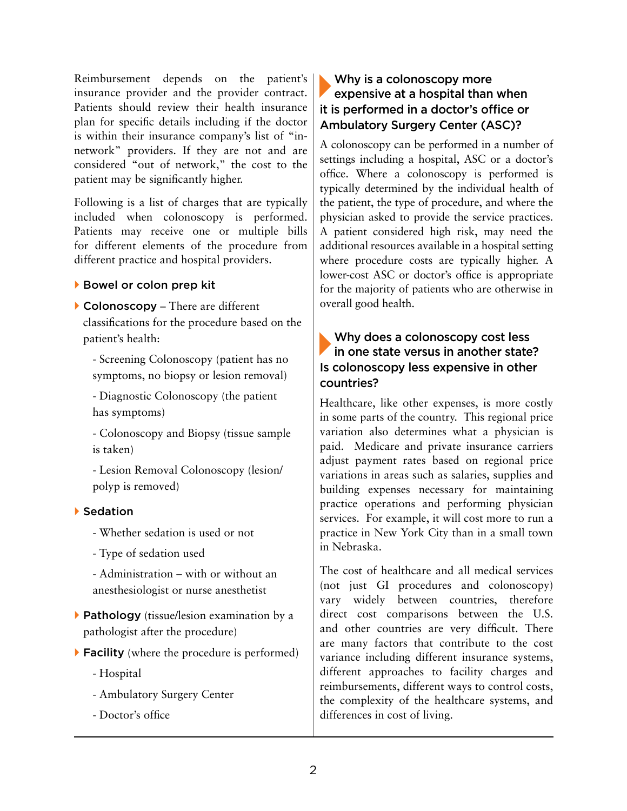Reimbursement depends on the patient's insurance provider and the provider contract. Patients should review their health insurance plan for specific details including if the doctor is within their insurance company's list of "innetwork" providers. If they are not and are considered "out of network," the cost to the patient may be significantly higher.

Following is a list of charges that are typically included when colonoscopy is performed. Patients may receive one or multiple bills for different elements of the procedure from different practice and hospital providers.

#### ▶ Bowel or colon prep kit

▶ Colonoscopy – There are different classifications for the procedure based on the patient's health:

- Screening Colonoscopy (patient has no symptoms, no biopsy or lesion removal)

- Diagnostic Colonoscopy (the patient has symptoms)

- Colonoscopy and Biopsy (tissue sample is taken)

- Lesion Removal Colonoscopy (lesion/ polyp is removed)

#### Sedation

- Whether sedation is used or not
- Type of sedation used

- Administration – with or without an anesthesiologist or nurse anesthetist

- $\triangleright$  Pathology (tissue/lesion examination by a pathologist after the procedure)
- ▶ Facility (where the procedure is performed)
	- Hospital
	- Ambulatory Surgery Center
	- Doctor's office

# Why is a colonoscopy more expensive at a hospital than when it is performed in a doctor's office or Ambulatory Surgery Center (ASC)?

A colonoscopy can be performed in a number of settings including a hospital, ASC or a doctor's office. Where a colonoscopy is performed is typically determined by the individual health of the patient, the type of procedure, and where the physician asked to provide the service practices. A patient considered high risk, may need the additional resources available in a hospital setting where procedure costs are typically higher. A lower-cost ASC or doctor's office is appropriate for the majority of patients who are otherwise in overall good health.

### Why does a colonoscopy cost less in one state versus in another state? Is colonoscopy less expensive in other countries?

Healthcare, like other expenses, is more costly in some parts of the country. This regional price variation also determines what a physician is paid. Medicare and private insurance carriers adjust payment rates based on regional price variations in areas such as salaries, supplies and building expenses necessary for maintaining practice operations and performing physician services. For example, it will cost more to run a practice in New York City than in a small town in Nebraska.

The cost of healthcare and all medical services (not just GI procedures and colonoscopy) vary widely between countries, therefore direct cost comparisons between the U.S. and other countries are very difficult. There are many factors that contribute to the cost variance including different insurance systems, different approaches to facility charges and reimbursements, different ways to control costs, the complexity of the healthcare systems, and differences in cost of living.